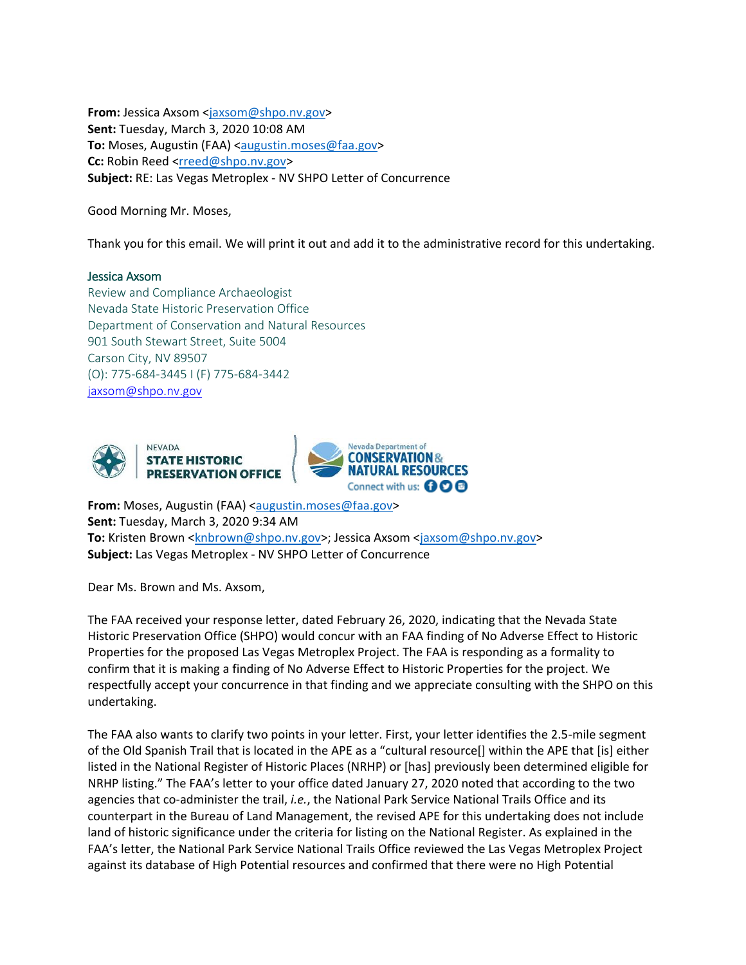**From:** Jessica Axsom [<jaxsom@shpo.nv.gov>](mailto:jaxsom@shpo.nv.gov) **Sent:** Tuesday, March 3, 2020 10:08 AM To: Moses, Augustin (FAA) [<augustin.moses@faa.gov>](mailto:augustin.moses@faa.gov) **Cc:** Robin Reed [<rreed@shpo.nv.gov>](mailto:rreed@shpo.nv.gov) **Subject:** RE: Las Vegas Metroplex - NV SHPO Letter of Concurrence

Good Morning Mr. Moses,

Thank you for this email. We will print it out and add it to the administrative record for this undertaking.

## Jessica Axsom

Review and Compliance Archaeologist Nevada State Historic Preservation Office Department of Conservation and Natural Resources 901 South Stewart Street, Suite 5004 Carson City, NV 89507 (O): 775-684-3445 I (F) 775-684-3442 [jaxsom@shpo.nv.gov](mailto:jaxsom@shpo.nv.gov)



**From:** Moses, Augustin (FAA) [<augustin.moses@faa.gov>](mailto:augustin.moses@faa.gov) **Sent:** Tuesday, March 3, 2020 9:34 AM **To:** Kristen Brown [<knbrown@shpo.nv.gov>](mailto:knbrown@shpo.nv.gov); Jessica Axsom [<jaxsom@shpo.nv.gov>](mailto:jaxsom@shpo.nv.gov) **Subject:** Las Vegas Metroplex - NV SHPO Letter of Concurrence

Dear Ms. Brown and Ms. Axsom,

The FAA received your response letter, dated February 26, 2020, indicating that the Nevada State Historic Preservation Office (SHPO) would concur with an FAA finding of No Adverse Effect to Historic Properties for the proposed Las Vegas Metroplex Project. The FAA is responding as a formality to confirm that it is making a finding of No Adverse Effect to Historic Properties for the project. We respectfully accept your concurrence in that finding and we appreciate consulting with the SHPO on this undertaking.

The FAA also wants to clarify two points in your letter. First, your letter identifies the 2.5-mile segment of the Old Spanish Trail that is located in the APE as a "cultural resource[] within the APE that [is] either listed in the National Register of Historic Places (NRHP) or [has] previously been determined eligible for NRHP listing." The FAA's letter to your office dated January 27, 2020 noted that according to the two agencies that co-administer the trail, *i.e.*, the National Park Service National Trails Office and its counterpart in the Bureau of Land Management, the revised APE for this undertaking does not include land of historic significance under the criteria for listing on the National Register. As explained in the FAA's letter, the National Park Service National Trails Office reviewed the Las Vegas Metroplex Project against its database of High Potential resources and confirmed that there were no High Potential